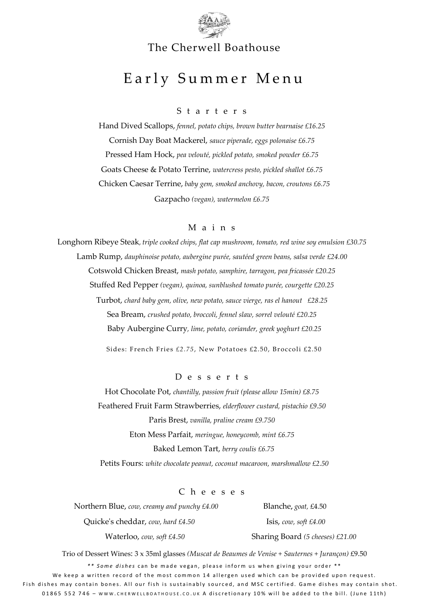

### The Cherwell Boathouse

# Early Summer Menu

S t a r t e r s

Hand Dived Scallops, *fennel, potato chips, brown butter bearnaise £16.25* Cornish Day Boat Mackerel, *sauce piperade, eggs polonaise £6.75* Pressed Ham Hock, *pea velouté, pickled potato, smoked powder £6.75* Goats Cheese & Potato Terrine, *watercress pesto, pickled shallot £6.75* Chicken Caesar Terrine, *baby gem, smoked anchovy, bacon, croutons £6.75* Gazpacho *(vegan), watermelon £6.75*

#### M a i n s

Longhorn Ribeye Steak*, triple cooked chips, flat cap mushroom, tomato, red wine soy emulsion £30.75* Lamb Rump, *dauphinoise potato, aubergine purée, sautéed green beans, salsa verde £24.00* Cotswold Chicken Breast, *mash potato, samphire, tarragon, pea fricassée £20.25* Stuffed Red Pepper *(vegan), quinoa, sunblushed tomato purée, courgette £20.25* Turbot, *chard baby gem, olive, new potato, sauce vierge, ras el hanout £28.25* Sea Bream, *crushed potato, broccoli, fennel slaw, sorrel velouté £20.25* Baby Aubergine Curry*, lime, potato, coriander, greek yoghurt £20.25* Sides: French Fries £2.75, New Potatoes £2.50, Broccoli £2.50

D e s s e r t s

Hot Chocolate Pot, *chantilly, passion fruit (please allow 15min) £8.75* Feathered Fruit Farm Strawberries, *elderflower custard, pistachio £9.50* Paris Brest, *vanilla, praline cream £9.750* Eton Mess Parfait, *meringue, honeycomb, mint £6.75* Baked Lemon Tart, *berry coulis £6.75*  Petits Fours: *white chocolate peanut, coconut macaroon, marshmallow £2.50*

C h e e s e s

 Northern Blue, *cow, creamy and punchy £4.00* Blanche**,** *goat,* £4.50 Quicke's cheddar, *cow, hard £4.50* Isis, *cow, soft £4.00* Waterloo, *cow, soft £4.50* Sharing Board *(5 cheeses) £21.00*

\*\* Some dishes can be made vegan, please inform us when giving your order \*\* Trio of Dessert Wines: 3 x 35ml glasses *(Muscat de Beaumes de Venise + Sauternes + Jurançon)* £9.50

We keep a written record of the most common 14 allergen used which can be provided upon request. Fish dishes may contain bones. All our fish is sustainably sourced, and MSC certified. Game dishes may contain shot. 01865 552 746 - www.cHERWELLBOATHOUSE.CO.UK A discretionary 10% will be added to the bill. (June 11th)